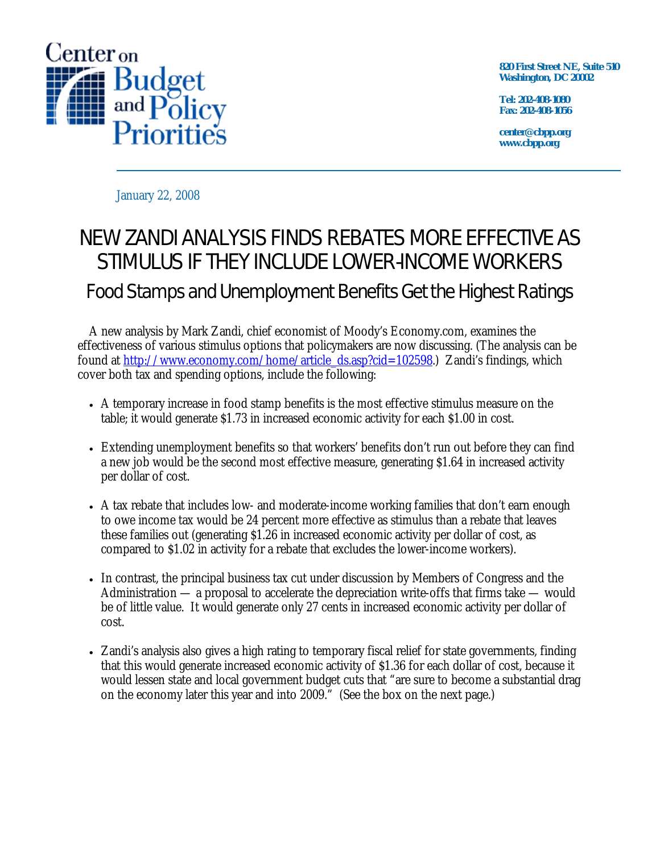

**820 First Street NE, Suite 510 Washington, DC 20002** 

**Tel: 202-408-1080 Fax: 202-408-1056** 

**center@cbpp.org www.cbpp.org** 

January 22, 2008

## NEW ZANDI ANALYSIS FINDS REBATES MORE EFFECTIVE AS STIMULUS IF THEY INCLUDE LOWER-INCOME WORKERS Food Stamps and Unemployment Benefits Get the Highest Ratings

 A new analysis by Mark Zandi, chief economist of Moody's Economy.com, examines the effectiveness of various stimulus options that policymakers are now discussing. (The analysis can be found at http://www.economy.com/home/article\_ds.asp?cid=102598.) Zandi's findings, which cover both tax and spending options, include the following:

- A temporary increase in food stamp benefits is the most effective stimulus measure on the table; it would generate \$1.73 in increased economic activity for each \$1.00 in cost.
- Extending unemployment benefits so that workers' benefits don't run out before they can find a new job would be the second most effective measure, generating \$1.64 in increased activity per dollar of cost.
- A tax rebate that includes low- and moderate-income working families that don't earn enough to owe income tax would be 24 percent more effective as stimulus than a rebate that leaves these families out (generating \$1.26 in increased economic activity per dollar of cost, as compared to \$1.02 in activity for a rebate that excludes the lower-income workers).
- In contrast, the principal business tax cut under discussion by Members of Congress and the Administration — a proposal to accelerate the depreciation write-offs that firms take — would be of little value. It would generate only 27 cents in increased economic activity per dollar of cost.
- Zandi's analysis also gives a high rating to temporary fiscal relief for state governments, finding that this would generate increased economic activity of \$1.36 for each dollar of cost, because it would lessen state and local government budget cuts that "are sure to become a substantial drag on the economy later this year and into 2009." (See the box on the next page.)